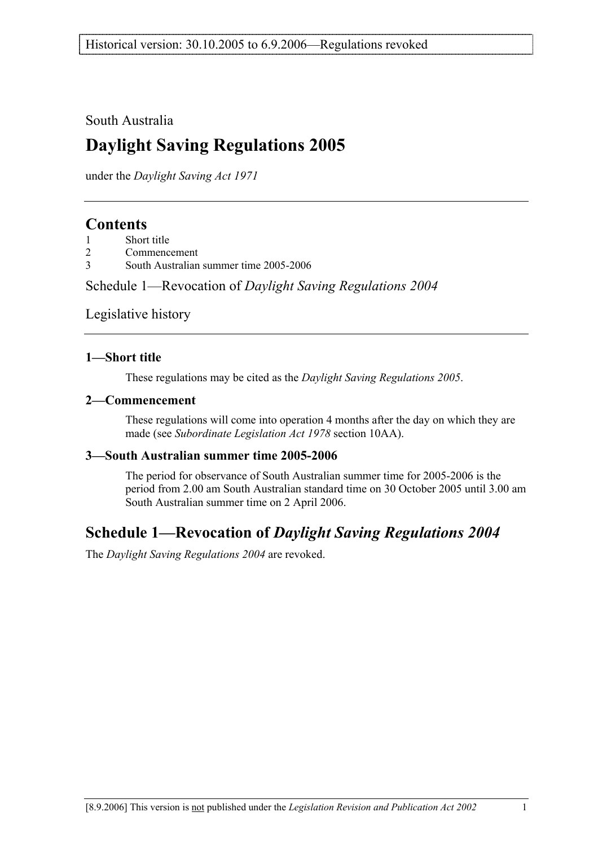South Australia

# **Daylight Saving Regulations 2005**

under the *Daylight Saving Act 1971*

### **Contents**

- 2 Commencement
- 3 South Australian summer time 2005-2006

Schedule 1—Revocation of *Daylight Saving Regulations 2004*

Legislative history

### **1—Short title**

These regulations may be cited as the *Daylight Saving Regulations 2005*.

### **2—Commencement**

These regulations will come into operation 4 months after the day on which they are made (see *Subordinate Legislation Act 1978* section 10AA).

### **3—South Australian summer time 2005-2006**

The period for observance of South Australian summer time for 2005-2006 is the period from 2.00 am South Australian standard time on 30 October 2005 until 3.00 am South Australian summer time on 2 April 2006.

### **Schedule 1—Revocation of** *Daylight Saving Regulations 2004*

The *Daylight Saving Regulations 2004* are revoked.